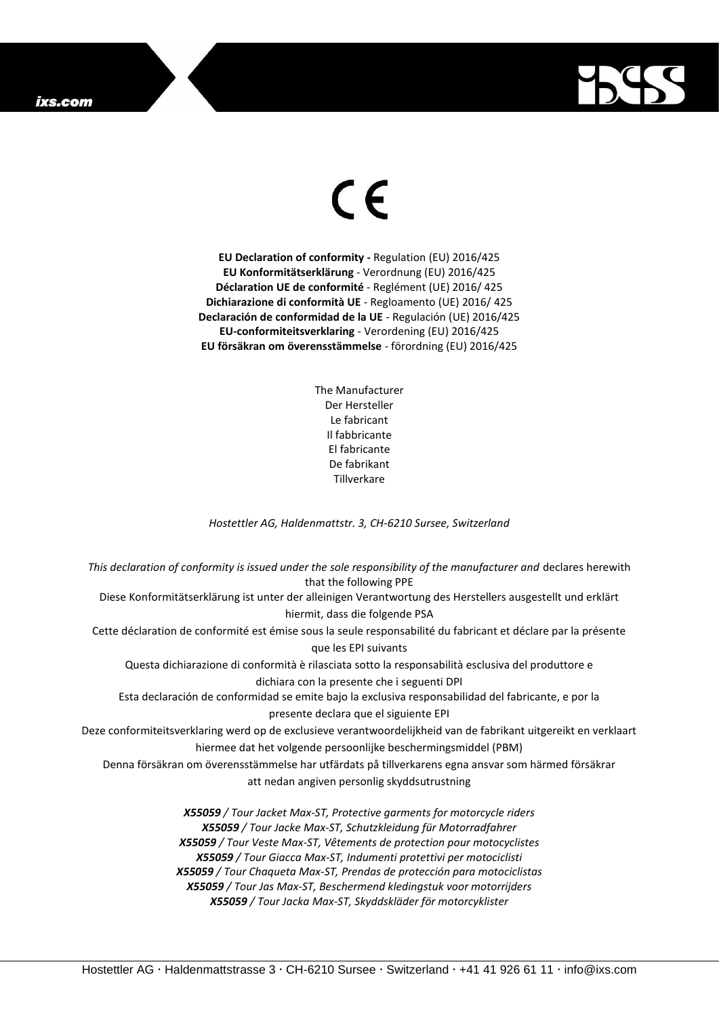## ixs.com



## $\epsilon$

**EU Declaration of conformity -** Regulation (EU) 2016/425 **EU Konformitätserklärung** - Verordnung (EU) 2016/425 **Déclaration UE de conformité** - Reglément (UE) 2016/ 425 **Dichiarazione di conformità UE** - Regloamento (UE) 2016/ 425 **Declaración de conformidad de la UE** - Regulación (UE) 2016/425 **EU-conformiteitsverklaring** - Verordening (EU) 2016/425 **EU försäkran om överensstämmelse** - förordning (EU) 2016/425

> The Manufacturer Der Hersteller Le fabricant Il fabbricante El fabricante De fabrikant **Tillverkare**

*Hostettler AG, Haldenmattstr. 3, CH-6210 Sursee, Switzerland*

*This declaration of conformity is issued under the sole responsibility of the manufacturer and* declares herewith that the following PPE Diese Konformitätserklärung ist unter der alleinigen Verantwortung des Herstellers ausgestellt und erklärt hiermit, dass die folgende PSA Cette déclaration de conformité est émise sous la seule responsabilité du fabricant et déclare par la présente que les EPI suivants Questa dichiarazione di conformità è rilasciata sotto la responsabilità esclusiva del produttore e dichiara con la presente che i seguenti DPI Esta declaración de conformidad se emite bajo la exclusiva responsabilidad del fabricante, e por la presente declara que el siguiente EPI Deze conformiteitsverklaring werd op de exclusieve verantwoordelijkheid van de fabrikant uitgereikt en verklaart hiermee dat het volgende persoonlijke beschermingsmiddel (PBM) Denna försäkran om överensstämmelse har utfärdats på tillverkarens egna ansvar som härmed försäkrar att nedan angiven personlig skyddsutrustning *X55059 / Tour Jacket Max-ST, Protective garments for motorcycle riders X55059 / Tour Jacke Max-ST, Schutzkleidung für Motorradfahrer X55059 / Tour Veste Max-ST, Vêtements de protection pour motocyclistes X55059 / Tour Giacca Max-ST, Indumenti protettivi per motociclisti X55059 / Tour Chaqueta Max-ST, Prendas de protección para motociclistas*

*X55059 / Tour Jas Max-ST, Beschermend kledingstuk voor motorrijders X55059 / Tour Jacka Max-ST, Skyddskläder för motorcyklister*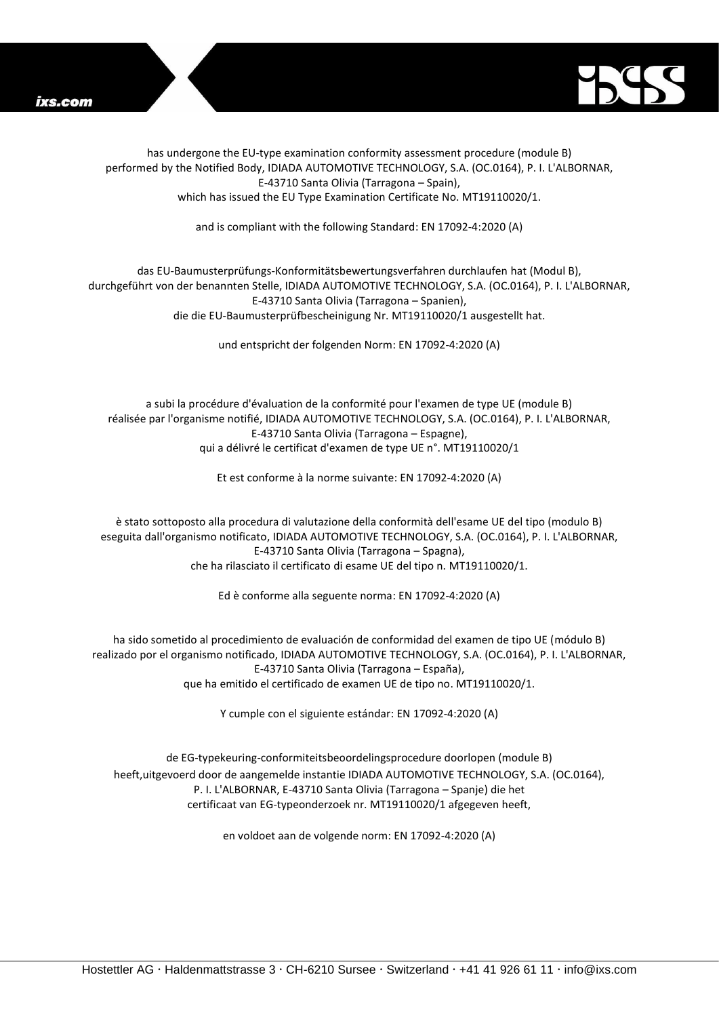



has undergone the EU-type examination conformity assessment procedure (module B) performed by the Notified Body, IDIADA AUTOMOTIVE TECHNOLOGY, S.A. (OC.0164), P. I. L'ALBORNAR, E-43710 Santa Olivia (Tarragona – Spain), which has issued the EU Type Examination Certificate No. MT19110020/1.

and is compliant with the following Standard: EN 17092-4:2020 (A)

## das EU-Baumusterprüfungs-Konformitätsbewertungsverfahren durchlaufen hat (Modul B), durchgeführt von der benannten Stelle, IDIADA AUTOMOTIVE TECHNOLOGY, S.A. (OC.0164), P. I. L'ALBORNAR, E-43710 Santa Olivia (Tarragona – Spanien), die die EU-Baumusterprüfbescheinigung Nr. MT19110020/1 ausgestellt hat.

und entspricht der folgenden Norm: EN 17092-4:2020 (A)

a subi la procédure d'évaluation de la conformité pour l'examen de type UE (module B) réalisée par l'organisme notifié, IDIADA AUTOMOTIVE TECHNOLOGY, S.A. (OC.0164), P. I. L'ALBORNAR, E-43710 Santa Olivia (Tarragona – Espagne), qui a délivré le certificat d'examen de type UE n°. MT19110020/1

Et est conforme à la norme suivante: EN 17092-4:2020 (A)

è stato sottoposto alla procedura di valutazione della conformità dell'esame UE del tipo (modulo B) eseguita dall'organismo notificato, IDIADA AUTOMOTIVE TECHNOLOGY, S.A. (OC.0164), P. I. L'ALBORNAR, E-43710 Santa Olivia (Tarragona – Spagna), che ha rilasciato il certificato di esame UE del tipo n. MT19110020/1.

Ed è conforme alla seguente norma: EN 17092-4:2020 (A)

ha sido sometido al procedimiento de evaluación de conformidad del examen de tipo UE (módulo B) realizado por el organismo notificado, IDIADA AUTOMOTIVE TECHNOLOGY, S.A. (OC.0164), P. I. L'ALBORNAR, E-43710 Santa Olivia (Tarragona – España), que ha emitido el certificado de examen UE de tipo no. MT19110020/1.

Y cumple con el siguiente estándar: EN 17092-4:2020 (A)

de EG-typekeuring-conformiteitsbeoordelingsprocedure doorlopen (module B) heeft,uitgevoerd door de aangemelde instantie IDIADA AUTOMOTIVE TECHNOLOGY, S.A. (OC.0164), P. I. L'ALBORNAR, E-43710 Santa Olivia (Tarragona – Spanje) die het certificaat van EG-typeonderzoek nr. MT19110020/1 afgegeven heeft,

en voldoet aan de volgende norm: EN 17092-4:2020 (A)